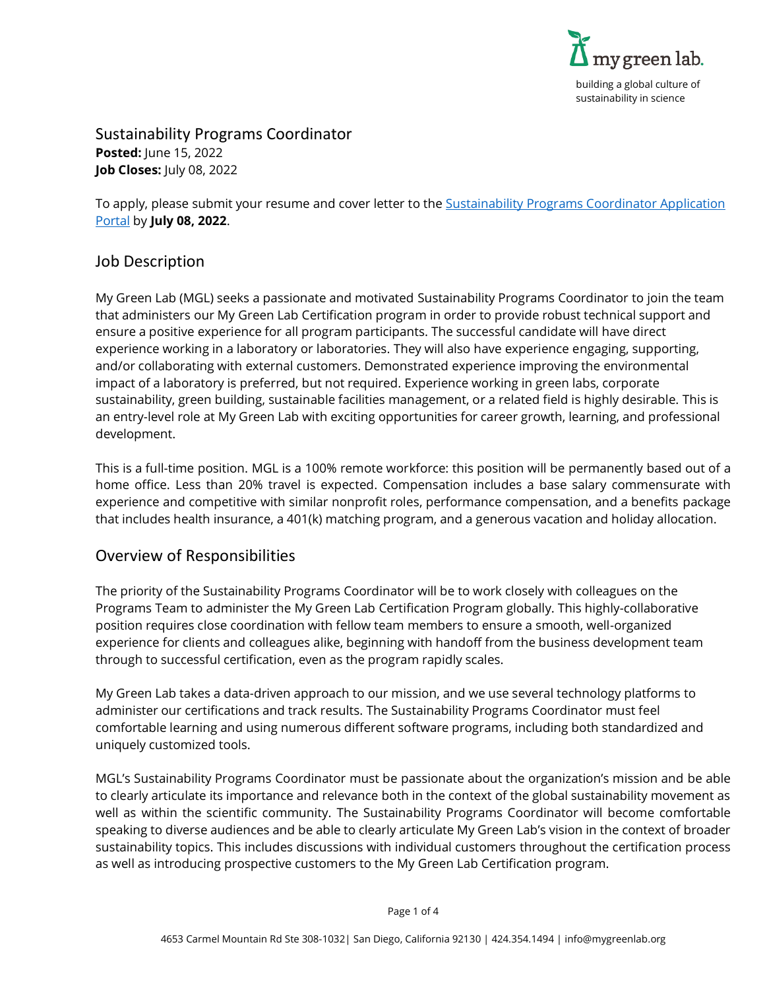

Sustainability Programs Coordinator **Posted:** June 15, 2022 **Job Closes:** July 08, 2022

To apply, please submit your resume and cover letter to the Sustainability Programs Coordinator Application [Portal](https://www.mygreenlab.org/application-portal-sustainability-programs-coordinator.html) by **July 08, 2022**.

### Job Description

My Green Lab (MGL) seeks a passionate and motivated Sustainability Programs Coordinator to join the team that administers our My Green Lab Certification program in order to provide robust technical support and ensure a positive experience for all program participants. The successful candidate will have direct experience working in a laboratory or laboratories. They will also have experience engaging, supporting, and/or collaborating with external customers. Demonstrated experience improving the environmental impact of a laboratory is preferred, but not required. Experience working in green labs, corporate sustainability, green building, sustainable facilities management, or a related field is highly desirable. This is an entry-level role at My Green Lab with exciting opportunities for career growth, learning, and professional development.

This is a full-time position. MGL is a 100% remote workforce: this position will be permanently based out of a home office. Less than 20% travel is expected. Compensation includes a base salary commensurate with experience and competitive with similar nonprofit roles, performance compensation, and a benefits package that includes health insurance, a 401(k) matching program, and a generous vacation and holiday allocation.

# Overview of Responsibilities

The priority of the Sustainability Programs Coordinator will be to work closely with colleagues on the Programs Team to administer the My Green Lab Certification Program globally. This highly-collaborative position requires close coordination with fellow team members to ensure a smooth, well-organized experience for clients and colleagues alike, beginning with handoff from the business development team through to successful certification, even as the program rapidly scales.

My Green Lab takes a data-driven approach to our mission, and we use several technology platforms to administer our certifications and track results. The Sustainability Programs Coordinator must feel comfortable learning and using numerous different software programs, including both standardized and uniquely customized tools.

MGL's Sustainability Programs Coordinator must be passionate about the organization's mission and be able to clearly articulate its importance and relevance both in the context of the global sustainability movement as well as within the scientific community. The Sustainability Programs Coordinator will become comfortable speaking to diverse audiences and be able to clearly articulate My Green Lab's vision in the context of broader sustainability topics. This includes discussions with individual customers throughout the certification process as well as introducing prospective customers to the My Green Lab Certification program.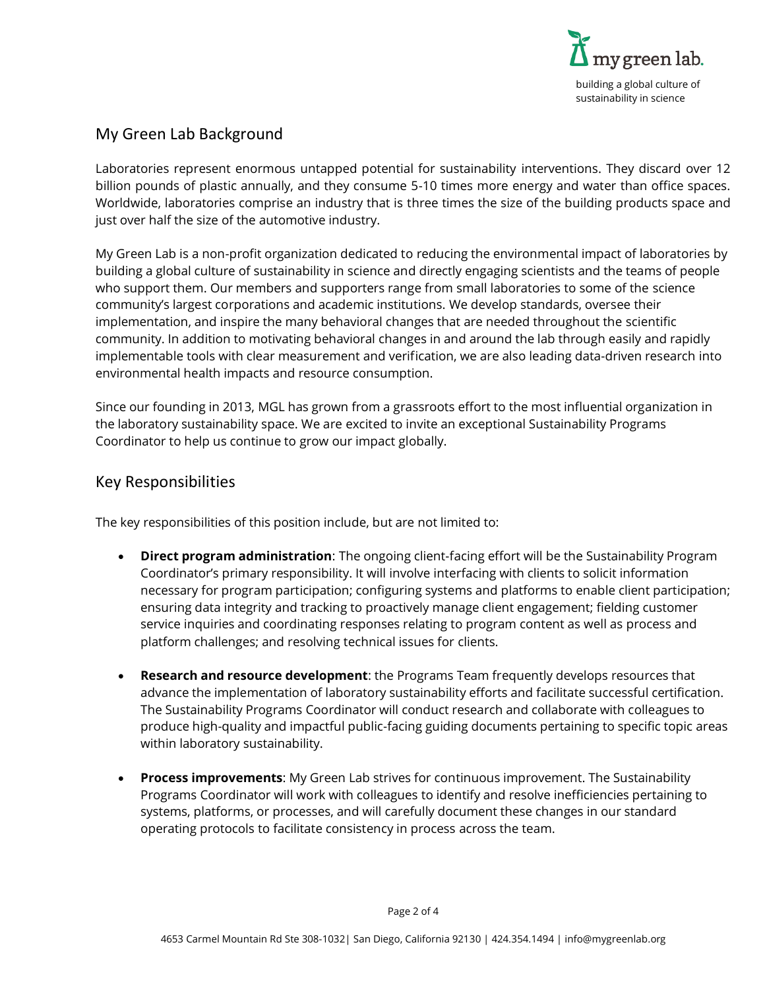

# My Green Lab Background

Laboratories represent enormous untapped potential for sustainability interventions. They discard over 12 billion pounds of plastic annually, and they consume 5-10 times more energy and water than office spaces. Worldwide, laboratories comprise an industry that is three times the size of the building products space and just over half the size of the automotive industry.

My Green Lab is a non-profit organization dedicated to reducing the environmental impact of laboratories by building a global culture of sustainability in science and directly engaging scientists and the teams of people who support them. Our members and supporters range from small laboratories to some of the science community's largest corporations and academic institutions. We develop standards, oversee their implementation, and inspire the many behavioral changes that are needed throughout the scientific community. In addition to motivating behavioral changes in and around the lab through easily and rapidly implementable tools with clear measurement and verification, we are also leading data-driven research into environmental health impacts and resource consumption.

Since our founding in 2013, MGL has grown from a grassroots effort to the most influential organization in the laboratory sustainability space. We are excited to invite an exceptional Sustainability Programs Coordinator to help us continue to grow our impact globally.

### Key Responsibilities

The key responsibilities of this position include, but are not limited to:

- **Direct program administration**: The ongoing client-facing effort will be the Sustainability Program Coordinator's primary responsibility. It will involve interfacing with clients to solicit information necessary for program participation; configuring systems and platforms to enable client participation; ensuring data integrity and tracking to proactively manage client engagement; fielding customer service inquiries and coordinating responses relating to program content as well as process and platform challenges; and resolving technical issues for clients.
- **Research and resource development**: the Programs Team frequently develops resources that advance the implementation of laboratory sustainability efforts and facilitate successful certification. The Sustainability Programs Coordinator will conduct research and collaborate with colleagues to produce high-quality and impactful public-facing guiding documents pertaining to specific topic areas within laboratory sustainability.
- **Process improvements**: My Green Lab strives for continuous improvement. The Sustainability Programs Coordinator will work with colleagues to identify and resolve inefficiencies pertaining to systems, platforms, or processes, and will carefully document these changes in our standard operating protocols to facilitate consistency in process across the team.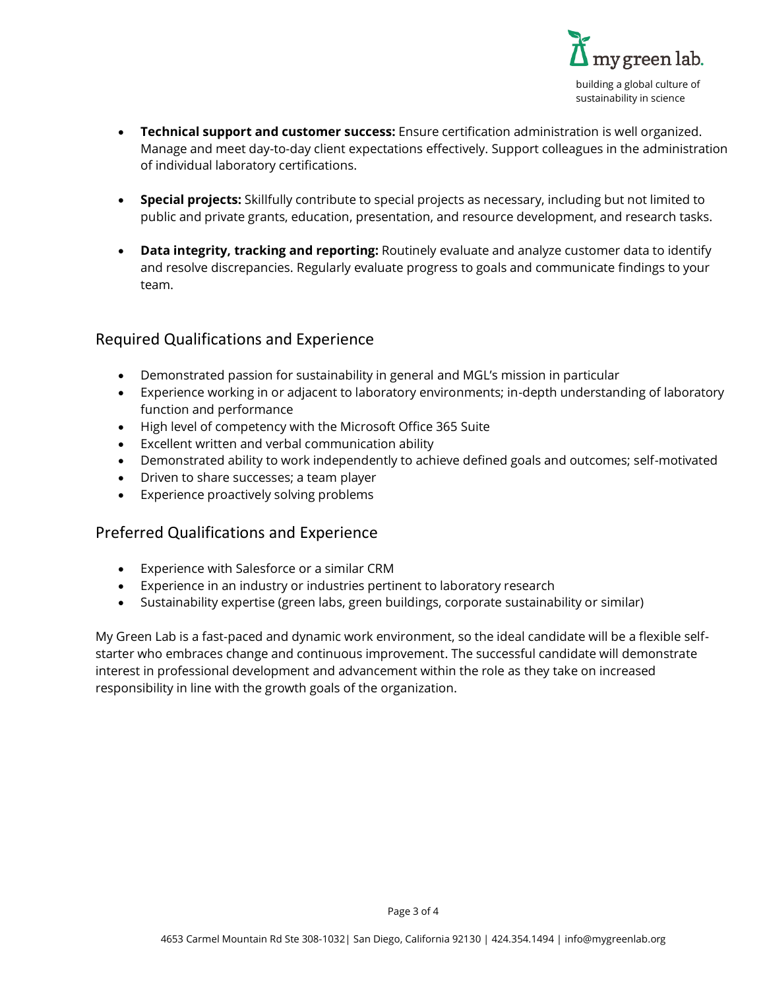

- **Technical support and customer success:** Ensure certification administration is well organized. Manage and meet day-to-day client expectations effectively. Support colleagues in the administration of individual laboratory certifications.
- **Special projects:** Skillfully contribute to special projects as necessary, including but not limited to public and private grants, education, presentation, and resource development, and research tasks.
- **Data integrity, tracking and reporting:** Routinely evaluate and analyze customer data to identify and resolve discrepancies. Regularly evaluate progress to goals and communicate findings to your team.

## Required Qualifications and Experience

- Demonstrated passion for sustainability in general and MGL's mission in particular
- Experience working in or adjacent to laboratory environments; in-depth understanding of laboratory function and performance
- High level of competency with the Microsoft Office 365 Suite
- Excellent written and verbal communication ability
- Demonstrated ability to work independently to achieve defined goals and outcomes; self-motivated
- Driven to share successes; a team player
- Experience proactively solving problems

# Preferred Qualifications and Experience

- Experience with Salesforce or a similar CRM
- Experience in an industry or industries pertinent to laboratory research
- Sustainability expertise (green labs, green buildings, corporate sustainability or similar)

My Green Lab is a fast-paced and dynamic work environment, so the ideal candidate will be a flexible selfstarter who embraces change and continuous improvement. The successful candidate will demonstrate interest in professional development and advancement within the role as they take on increased responsibility in line with the growth goals of the organization.